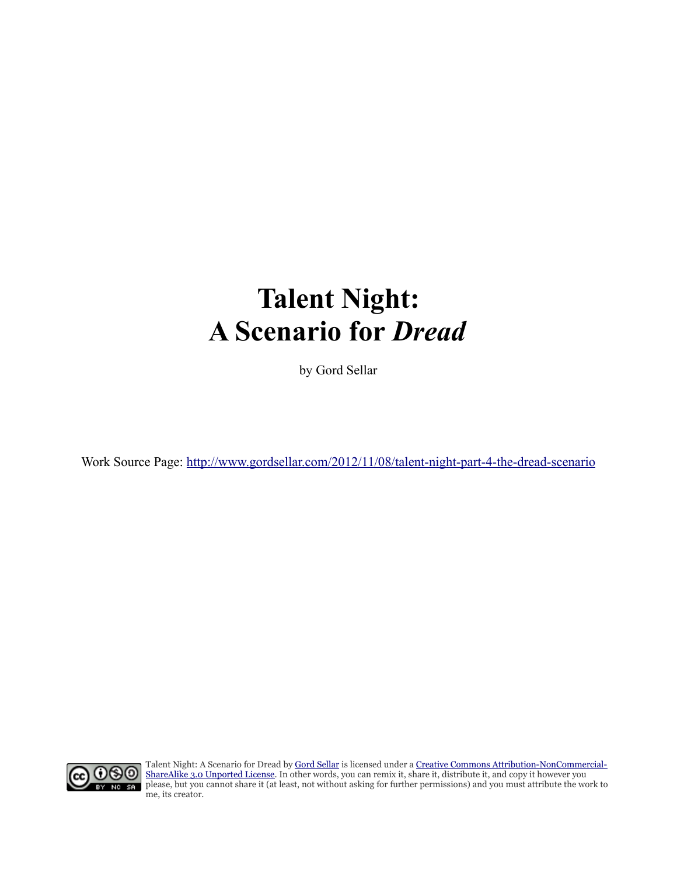# **Talent Night: A Scenario for** *Dread*

by Gord Sellar

Work Source Page:<http://www.gordsellar.com/2012/11/08/talent-night-part-4-the-dread-scenario>



Talent Night: A Scenario for Dread by [Gord Sellar](http://www.gordsellar.com/2012/11/08/talent-night-part-4-the-dread-scenario) is licensed under a [Creative Commons Attribution-NonCommercial-](http://creativecommons.org/licenses/by-nc-sa/3.0/deed.en_US)[ShareAlike 3.0 Unported License.](http://creativecommons.org/licenses/by-nc-sa/3.0/deed.en_US) In other words, you can remix it, share it, distribute it, and copy it however you please, but you cannot share it (at least, not without asking for further permissions) and you must attribute the work to me, its creator.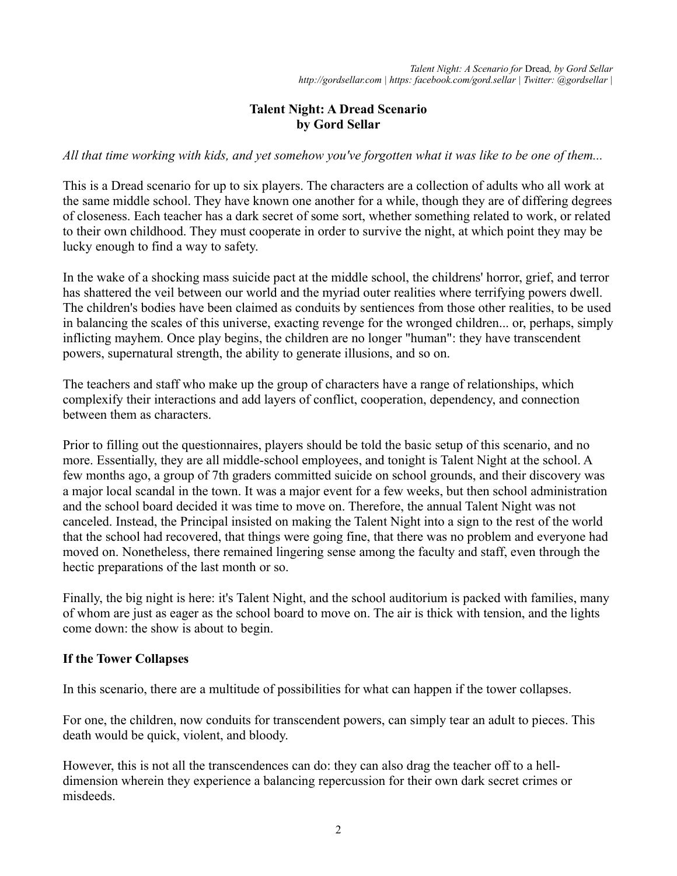## **Talent Night: A Dread Scenario by Gord Sellar**

*All that time working with kids, and yet somehow you've forgotten what it was like to be one of them...*

This is a Dread scenario for up to six players. The characters are a collection of adults who all work at the same middle school. They have known one another for a while, though they are of differing degrees of closeness. Each teacher has a dark secret of some sort, whether something related to work, or related to their own childhood. They must cooperate in order to survive the night, at which point they may be lucky enough to find a way to safety.

In the wake of a shocking mass suicide pact at the middle school, the childrens' horror, grief, and terror has shattered the veil between our world and the myriad outer realities where terrifying powers dwell. The children's bodies have been claimed as conduits by sentiences from those other realities, to be used in balancing the scales of this universe, exacting revenge for the wronged children... or, perhaps, simply inflicting mayhem. Once play begins, the children are no longer "human": they have transcendent powers, supernatural strength, the ability to generate illusions, and so on.

The teachers and staff who make up the group of characters have a range of relationships, which complexify their interactions and add layers of conflict, cooperation, dependency, and connection between them as characters.

Prior to filling out the questionnaires, players should be told the basic setup of this scenario, and no more. Essentially, they are all middle-school employees, and tonight is Talent Night at the school. A few months ago, a group of 7th graders committed suicide on school grounds, and their discovery was a major local scandal in the town. It was a major event for a few weeks, but then school administration and the school board decided it was time to move on. Therefore, the annual Talent Night was not canceled. Instead, the Principal insisted on making the Talent Night into a sign to the rest of the world that the school had recovered, that things were going fine, that there was no problem and everyone had moved on. Nonetheless, there remained lingering sense among the faculty and staff, even through the hectic preparations of the last month or so.

Finally, the big night is here: it's Talent Night, and the school auditorium is packed with families, many of whom are just as eager as the school board to move on. The air is thick with tension, and the lights come down: the show is about to begin.

#### **If the Tower Collapses**

In this scenario, there are a multitude of possibilities for what can happen if the tower collapses.

For one, the children, now conduits for transcendent powers, can simply tear an adult to pieces. This death would be quick, violent, and bloody.

However, this is not all the transcendences can do: they can also drag the teacher off to a helldimension wherein they experience a balancing repercussion for their own dark secret crimes or misdeeds.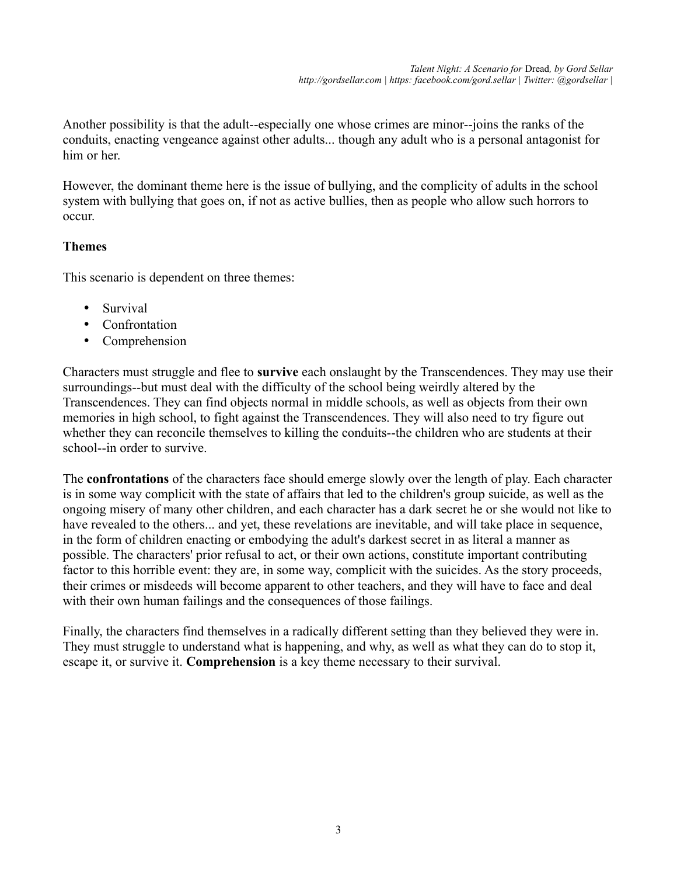Another possibility is that the adult--especially one whose crimes are minor--joins the ranks of the conduits, enacting vengeance against other adults... though any adult who is a personal antagonist for him or her

However, the dominant theme here is the issue of bullying, and the complicity of adults in the school system with bullying that goes on, if not as active bullies, then as people who allow such horrors to occur.

# **Themes**

This scenario is dependent on three themes:

- Survival
- Confrontation
- Comprehension

Characters must struggle and flee to **survive** each onslaught by the Transcendences. They may use their surroundings--but must deal with the difficulty of the school being weirdly altered by the Transcendences. They can find objects normal in middle schools, as well as objects from their own memories in high school, to fight against the Transcendences. They will also need to try figure out whether they can reconcile themselves to killing the conduits--the children who are students at their school--in order to survive.

The **confrontations** of the characters face should emerge slowly over the length of play. Each character is in some way complicit with the state of affairs that led to the children's group suicide, as well as the ongoing misery of many other children, and each character has a dark secret he or she would not like to have revealed to the others... and yet, these revelations are inevitable, and will take place in sequence, in the form of children enacting or embodying the adult's darkest secret in as literal a manner as possible. The characters' prior refusal to act, or their own actions, constitute important contributing factor to this horrible event: they are, in some way, complicit with the suicides. As the story proceeds, their crimes or misdeeds will become apparent to other teachers, and they will have to face and deal with their own human failings and the consequences of those failings.

Finally, the characters find themselves in a radically different setting than they believed they were in. They must struggle to understand what is happening, and why, as well as what they can do to stop it, escape it, or survive it. **Comprehension** is a key theme necessary to their survival.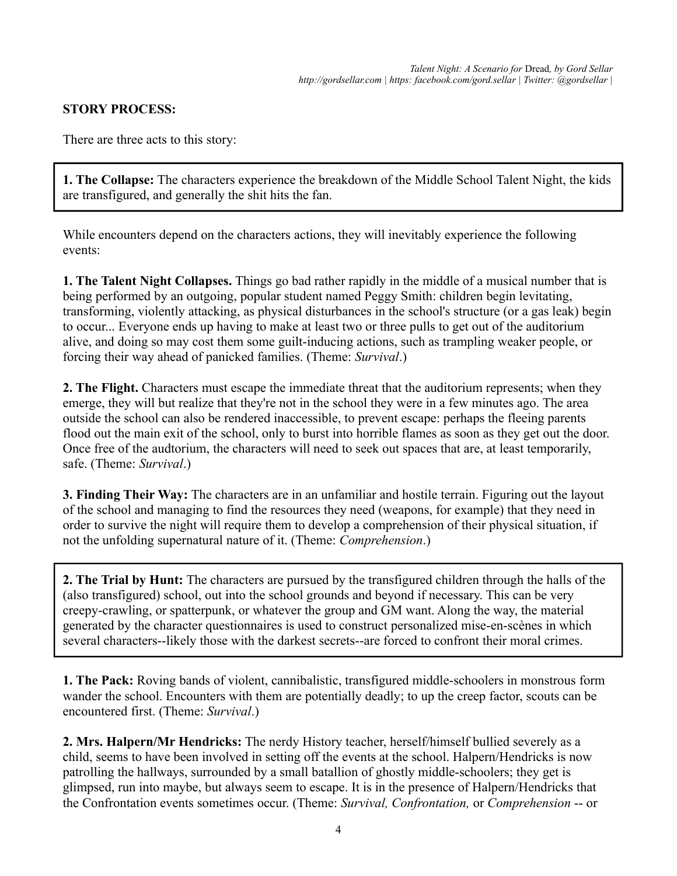# **STORY PROCESS:**

There are three acts to this story:

**1. The Collapse:** The characters experience the breakdown of the Middle School Talent Night, the kids are transfigured, and generally the shit hits the fan.

While encounters depend on the characters actions, they will inevitably experience the following events:

**1. The Talent Night Collapses.** Things go bad rather rapidly in the middle of a musical number that is being performed by an outgoing, popular student named Peggy Smith: children begin levitating, transforming, violently attacking, as physical disturbances in the school's structure (or a gas leak) begin to occur... Everyone ends up having to make at least two or three pulls to get out of the auditorium alive, and doing so may cost them some guilt-inducing actions, such as trampling weaker people, or forcing their way ahead of panicked families. (Theme: *Survival*.)

**2. The Flight.** Characters must escape the immediate threat that the auditorium represents; when they emerge, they will but realize that they're not in the school they were in a few minutes ago. The area outside the school can also be rendered inaccessible, to prevent escape: perhaps the fleeing parents flood out the main exit of the school, only to burst into horrible flames as soon as they get out the door. Once free of the audtorium, the characters will need to seek out spaces that are, at least temporarily, safe. (Theme: *Survival*.)

**3. Finding Their Way:** The characters are in an unfamiliar and hostile terrain. Figuring out the layout of the school and managing to find the resources they need (weapons, for example) that they need in order to survive the night will require them to develop a comprehension of their physical situation, if not the unfolding supernatural nature of it. (Theme: *Comprehension*.)

**2. The Trial by Hunt:** The characters are pursued by the transfigured children through the halls of the (also transfigured) school, out into the school grounds and beyond if necessary. This can be very creepy-crawling, or spatterpunk, or whatever the group and GM want. Along the way, the material generated by the character questionnaires is used to construct personalized mise-en-scènes in which several characters--likely those with the darkest secrets--are forced to confront their moral crimes.

**1. The Pack:** Roving bands of violent, cannibalistic, transfigured middle-schoolers in monstrous form wander the school. Encounters with them are potentially deadly; to up the creep factor, scouts can be encountered first. (Theme: *Survival*.)

**2. Mrs. Halpern/Mr Hendricks:** The nerdy History teacher, herself/himself bullied severely as a child, seems to have been involved in setting off the events at the school. Halpern/Hendricks is now patrolling the hallways, surrounded by a small batallion of ghostly middle-schoolers; they get is glimpsed, run into maybe, but always seem to escape. It is in the presence of Halpern/Hendricks that the Confrontation events sometimes occur. (Theme: *Survival, Confrontation,* or *Comprehension* -- or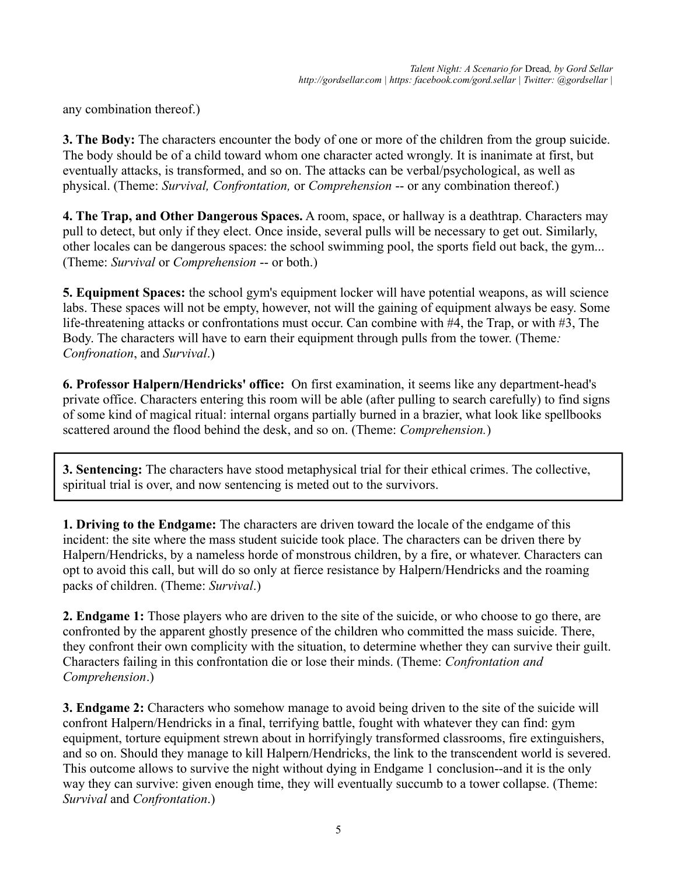any combination thereof.)

**3. The Body:** The characters encounter the body of one or more of the children from the group suicide. The body should be of a child toward whom one character acted wrongly. It is inanimate at first, but eventually attacks, is transformed, and so on. The attacks can be verbal/psychological, as well as physical. (Theme: *Survival, Confrontation,* or *Comprehension* -- or any combination thereof.)

**4. The Trap, and Other Dangerous Spaces.** A room, space, or hallway is a deathtrap. Characters may pull to detect, but only if they elect. Once inside, several pulls will be necessary to get out. Similarly, other locales can be dangerous spaces: the school swimming pool, the sports field out back, the gym... (Theme: *Survival* or *Comprehension* -- or both.)

**5. Equipment Spaces:** the school gym's equipment locker will have potential weapons, as will science labs. These spaces will not be empty, however, not will the gaining of equipment always be easy. Some life-threatening attacks or confrontations must occur. Can combine with #4, the Trap, or with #3, The Body. The characters will have to earn their equipment through pulls from the tower. (Theme*: Confronation*, and *Survival*.)

**6. Professor Halpern/Hendricks' office:** On first examination, it seems like any department-head's private office. Characters entering this room will be able (after pulling to search carefully) to find signs of some kind of magical ritual: internal organs partially burned in a brazier, what look like spellbooks scattered around the flood behind the desk, and so on. (Theme: *Comprehension.*)

**3. Sentencing:** The characters have stood metaphysical trial for their ethical crimes. The collective, spiritual trial is over, and now sentencing is meted out to the survivors.

**1. Driving to the Endgame:** The characters are driven toward the locale of the endgame of this incident: the site where the mass student suicide took place. The characters can be driven there by Halpern/Hendricks, by a nameless horde of monstrous children, by a fire, or whatever. Characters can opt to avoid this call, but will do so only at fierce resistance by Halpern/Hendricks and the roaming packs of children. (Theme: *Survival*.)

**2. Endgame 1:** Those players who are driven to the site of the suicide, or who choose to go there, are confronted by the apparent ghostly presence of the children who committed the mass suicide. There, they confront their own complicity with the situation, to determine whether they can survive their guilt. Characters failing in this confrontation die or lose their minds. (Theme: *Confrontation and Comprehension*.)

**3. Endgame 2:** Characters who somehow manage to avoid being driven to the site of the suicide will confront Halpern/Hendricks in a final, terrifying battle, fought with whatever they can find: gym equipment, torture equipment strewn about in horrifyingly transformed classrooms, fire extinguishers, and so on. Should they manage to kill Halpern/Hendricks, the link to the transcendent world is severed. This outcome allows to survive the night without dying in Endgame 1 conclusion--and it is the only way they can survive: given enough time, they will eventually succumb to a tower collapse. (Theme: *Survival* and *Confrontation*.)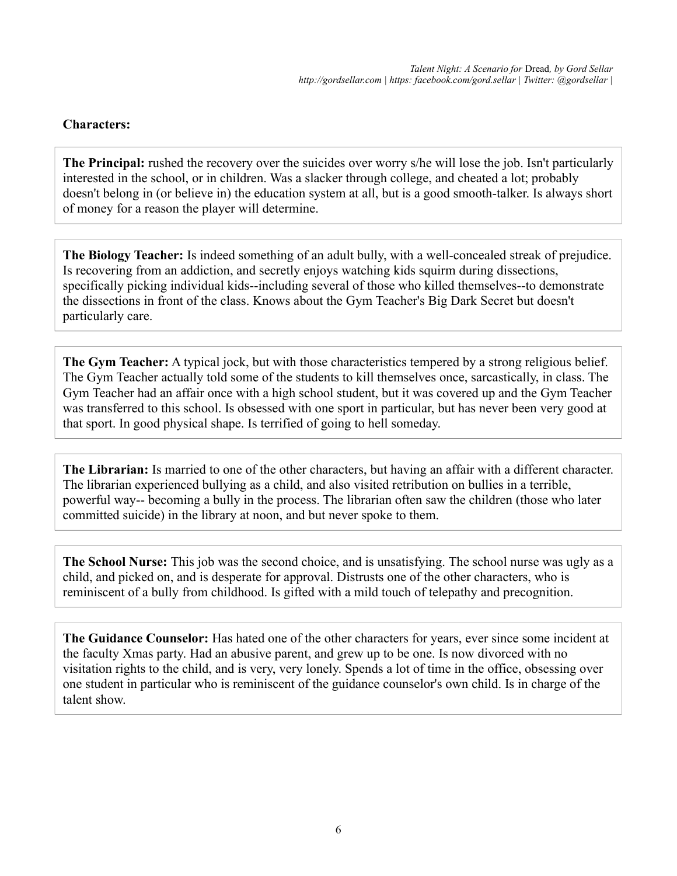## **Characters:**

**The Principal:** rushed the recovery over the suicides over worry s/he will lose the job. Isn't particularly interested in the school, or in children. Was a slacker through college, and cheated a lot; probably doesn't belong in (or believe in) the education system at all, but is a good smooth-talker. Is always short of money for a reason the player will determine.

**The Biology Teacher:** Is indeed something of an adult bully, with a well-concealed streak of prejudice. Is recovering from an addiction, and secretly enjoys watching kids squirm during dissections, specifically picking individual kids--including several of those who killed themselves--to demonstrate the dissections in front of the class. Knows about the Gym Teacher's Big Dark Secret but doesn't particularly care.

**The Gym Teacher:** A typical jock, but with those characteristics tempered by a strong religious belief. The Gym Teacher actually told some of the students to kill themselves once, sarcastically, in class. The Gym Teacher had an affair once with a high school student, but it was covered up and the Gym Teacher was transferred to this school. Is obsessed with one sport in particular, but has never been very good at that sport. In good physical shape. Is terrified of going to hell someday.

**The Librarian:** Is married to one of the other characters, but having an affair with a different character. The librarian experienced bullying as a child, and also visited retribution on bullies in a terrible, powerful way-- becoming a bully in the process. The librarian often saw the children (those who later committed suicide) in the library at noon, and but never spoke to them.

**The School Nurse:** This job was the second choice, and is unsatisfying. The school nurse was ugly as a child, and picked on, and is desperate for approval. Distrusts one of the other characters, who is reminiscent of a bully from childhood. Is gifted with a mild touch of telepathy and precognition.

**The Guidance Counselor:** Has hated one of the other characters for years, ever since some incident at the faculty Xmas party. Had an abusive parent, and grew up to be one. Is now divorced with no visitation rights to the child, and is very, very lonely. Spends a lot of time in the office, obsessing over one student in particular who is reminiscent of the guidance counselor's own child. Is in charge of the talent show.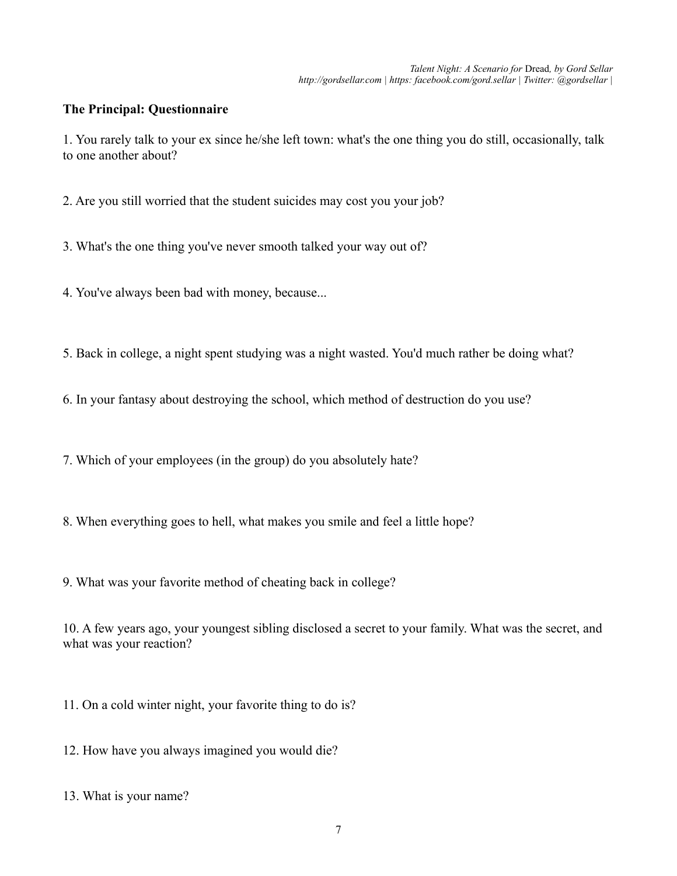#### **The Principal: Questionnaire**

1. You rarely talk to your ex since he/she left town: what's the one thing you do still, occasionally, talk to one another about?

2. Are you still worried that the student suicides may cost you your job?

3. What's the one thing you've never smooth talked your way out of?

4. You've always been bad with money, because...

5. Back in college, a night spent studying was a night wasted. You'd much rather be doing what?

6. In your fantasy about destroying the school, which method of destruction do you use?

7. Which of your employees (in the group) do you absolutely hate?

8. When everything goes to hell, what makes you smile and feel a little hope?

9. What was your favorite method of cheating back in college?

10. A few years ago, your youngest sibling disclosed a secret to your family. What was the secret, and what was your reaction?

11. On a cold winter night, your favorite thing to do is?

12. How have you always imagined you would die?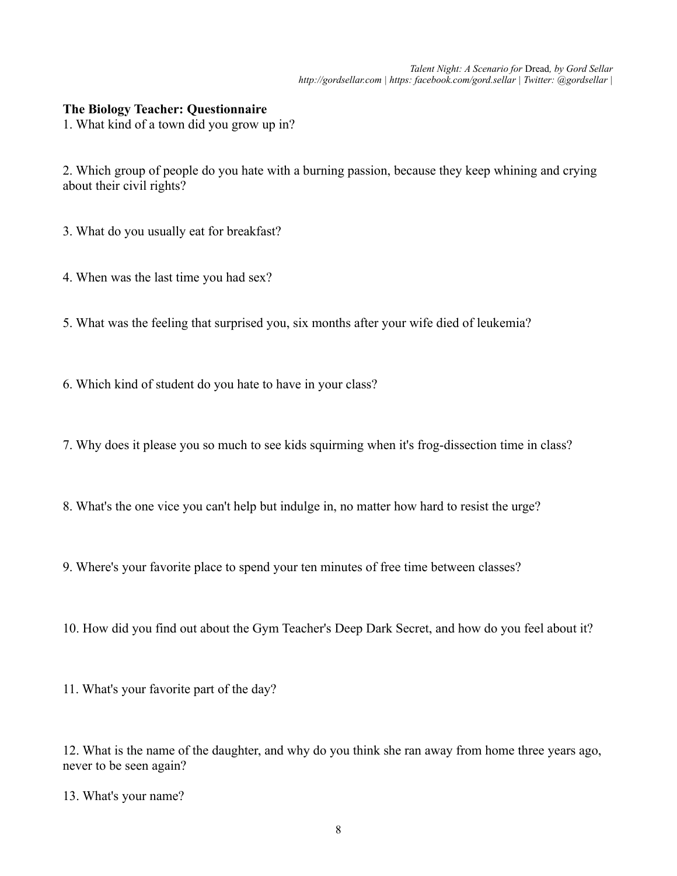#### **The Biology Teacher: Questionnaire**

1. What kind of a town did you grow up in?

2. Which group of people do you hate with a burning passion, because they keep whining and crying about their civil rights?

- 3. What do you usually eat for breakfast?
- 4. When was the last time you had sex?
- 5. What was the feeling that surprised you, six months after your wife died of leukemia?
- 6. Which kind of student do you hate to have in your class?
- 7. Why does it please you so much to see kids squirming when it's frog-dissection time in class?
- 8. What's the one vice you can't help but indulge in, no matter how hard to resist the urge?
- 9. Where's your favorite place to spend your ten minutes of free time between classes?
- 10. How did you find out about the Gym Teacher's Deep Dark Secret, and how do you feel about it?
- 11. What's your favorite part of the day?

12. What is the name of the daughter, and why do you think she ran away from home three years ago, never to be seen again?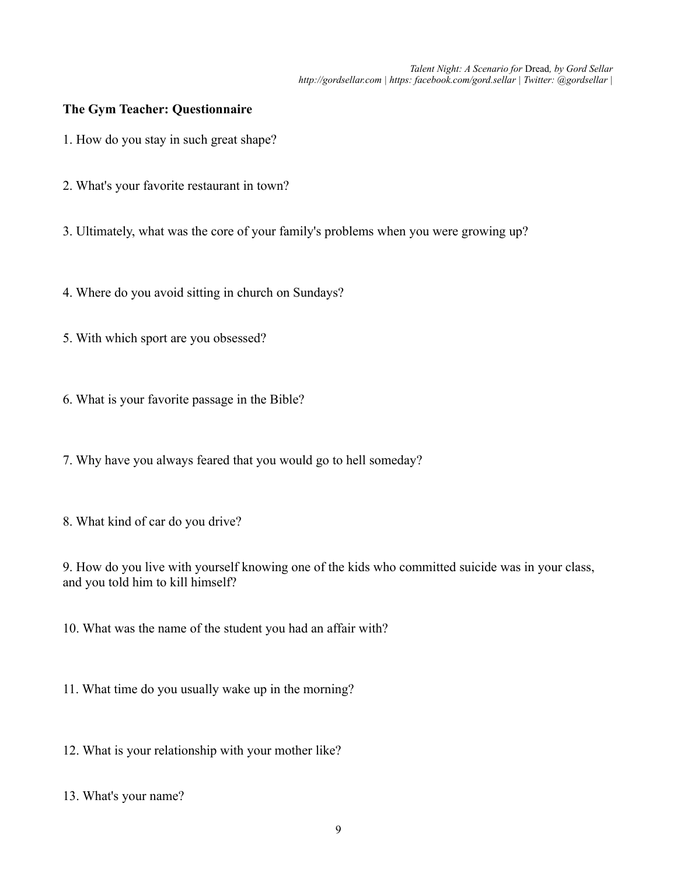## **The Gym Teacher: Questionnaire**

- 1. How do you stay in such great shape?
- 2. What's your favorite restaurant in town?
- 3. Ultimately, what was the core of your family's problems when you were growing up?
- 4. Where do you avoid sitting in church on Sundays?
- 5. With which sport are you obsessed?
- 6. What is your favorite passage in the Bible?
- 7. Why have you always feared that you would go to hell someday?
- 8. What kind of car do you drive?

9. How do you live with yourself knowing one of the kids who committed suicide was in your class, and you told him to kill himself?

10. What was the name of the student you had an affair with?

- 11. What time do you usually wake up in the morning?
- 12. What is your relationship with your mother like?
- 13. What's your name?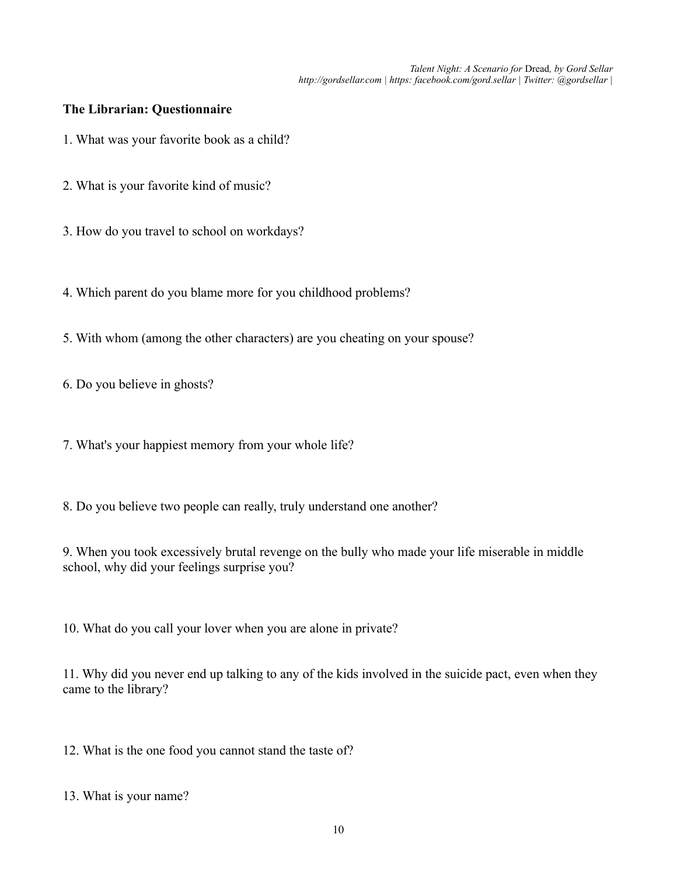#### **The Librarian: Questionnaire**

- 1. What was your favorite book as a child?
- 2. What is your favorite kind of music?
- 3. How do you travel to school on workdays?
- 4. Which parent do you blame more for you childhood problems?
- 5. With whom (among the other characters) are you cheating on your spouse?

6. Do you believe in ghosts?

7. What's your happiest memory from your whole life?

8. Do you believe two people can really, truly understand one another?

9. When you took excessively brutal revenge on the bully who made your life miserable in middle school, why did your feelings surprise you?

10. What do you call your lover when you are alone in private?

11. Why did you never end up talking to any of the kids involved in the suicide pact, even when they came to the library?

12. What is the one food you cannot stand the taste of?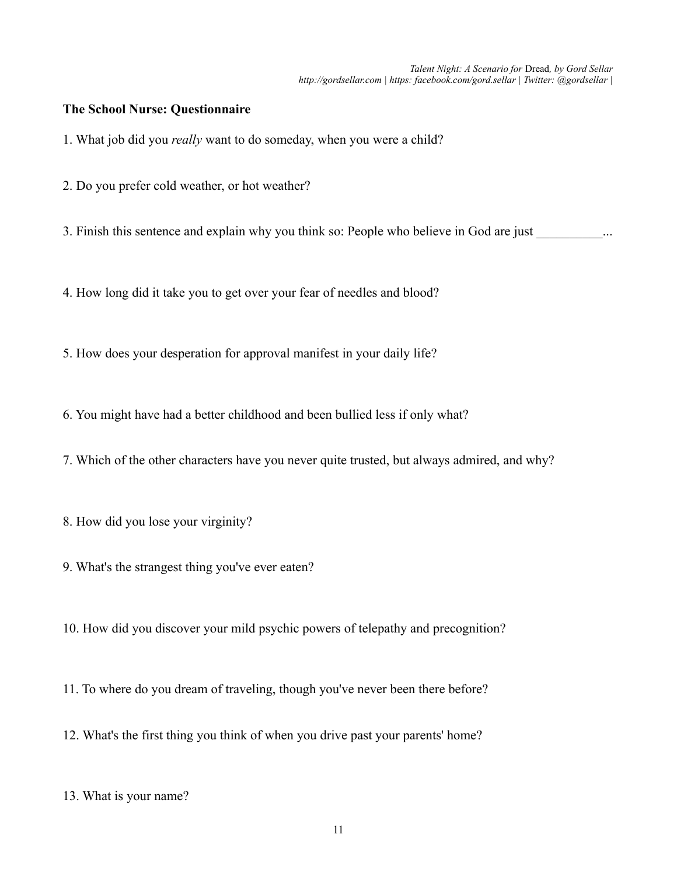## **The School Nurse: Questionnaire**

1. What job did you *really* want to do someday, when you were a child?

2. Do you prefer cold weather, or hot weather?

3. Finish this sentence and explain why you think so: People who believe in God are just ...

4. How long did it take you to get over your fear of needles and blood?

5. How does your desperation for approval manifest in your daily life?

6. You might have had a better childhood and been bullied less if only what?

7. Which of the other characters have you never quite trusted, but always admired, and why?

8. How did you lose your virginity?

9. What's the strangest thing you've ever eaten?

10. How did you discover your mild psychic powers of telepathy and precognition?

11. To where do you dream of traveling, though you've never been there before?

12. What's the first thing you think of when you drive past your parents' home?